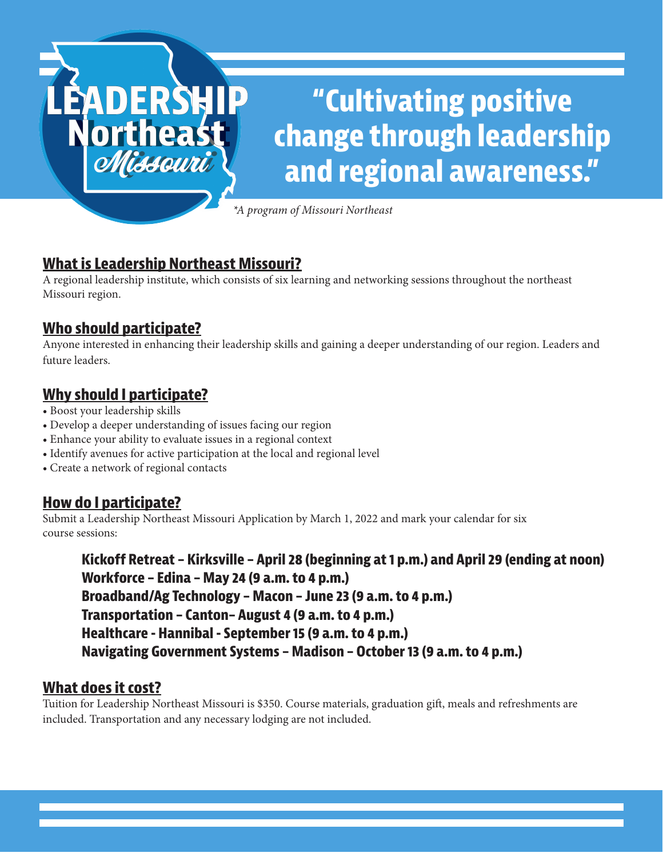# **"Cultivating positive change through leadership and regional awareness."**

*\*A program of Missouri Northeast*

# **What is Leadership Northeast Missouri?**

A regional leadership institute, which consists of six learning and networking sessions throughout the northeast Missouri region.

## **Who should participate?**

**EADERSH** 

**Northeast** 

Missouri

Anyone interested in enhancing their leadership skills and gaining a deeper understanding of our region. Leaders and future leaders.

## **Why should I participate?**

- Boost your leadership skills
- Develop a deeper understanding of issues facing our region
- Enhance your ability to evaluate issues in a regional context
- Identify avenues for active participation at the local and regional level
- Create a network of regional contacts

#### **How do I participate?**

Submit a Leadership Northeast Missouri Application by March 1, 2022 and mark your calendar for six course sessions:

**Kickoff Retreat – Kirksville – April 28 (beginning at 1 p.m.) and April 29 (ending at noon) Workforce – Edina – May 24 (9 a.m. to 4 p.m.) Broadband/Ag Technology – Macon – June 23 (9 a.m. to 4 p.m.) Transportation – Canton– August 4 (9 a.m. to 4 p.m.) Healthcare - Hannibal - September 15 (9 a.m. to 4 p.m.) Navigating Government Systems – Madison – October 13 (9 a.m. to 4 p.m.)**

#### **What does it cost?**

Tuition for Leadership Northeast Missouri is \$350. Course materials, graduation gift, meals and refreshments are included. Transportation and any necessary lodging are not included.